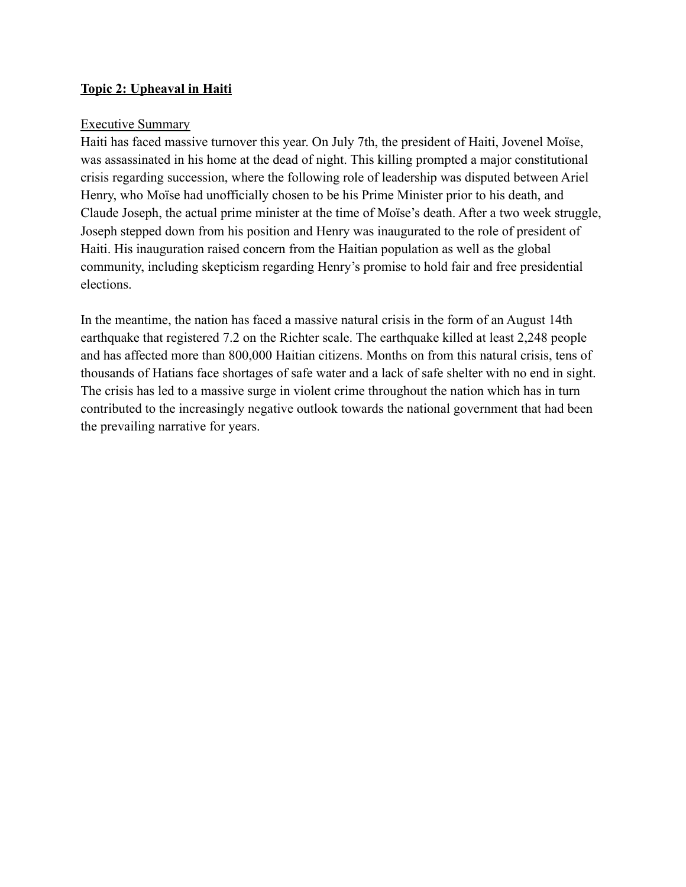#### **Topic 2: Upheaval in Haiti**

#### Executive Summary

Haiti has faced massive turnover this year. On July 7th, the president of Haiti, Jovenel Moïse, was assassinated in his home at the dead of night. This killing prompted a major constitutional crisis regarding succession, where the following role of leadership was disputed between Ariel Henry, who Moïse had unofficially chosen to be his Prime Minister prior to his death, and Claude Joseph, the actual prime minister at the time of Moïse's death. After a two week struggle, Joseph stepped down from his position and Henry was inaugurated to the role of president of Haiti. His inauguration raised concern from the Haitian population as well as the global community, including skepticism regarding Henry's promise to hold fair and free presidential elections.

In the meantime, the nation has faced a massive natural crisis in the form of an August 14th earthquake that registered 7.2 on the Richter scale. The earthquake killed at least 2,248 people and has affected more than 800,000 Haitian citizens. Months on from this natural crisis, tens of thousands of Hatians face shortages of safe water and a lack of safe shelter with no end in sight. The crisis has led to a massive surge in violent crime throughout the nation which has in turn contributed to the increasingly negative outlook towards the national government that had been the prevailing narrative for years.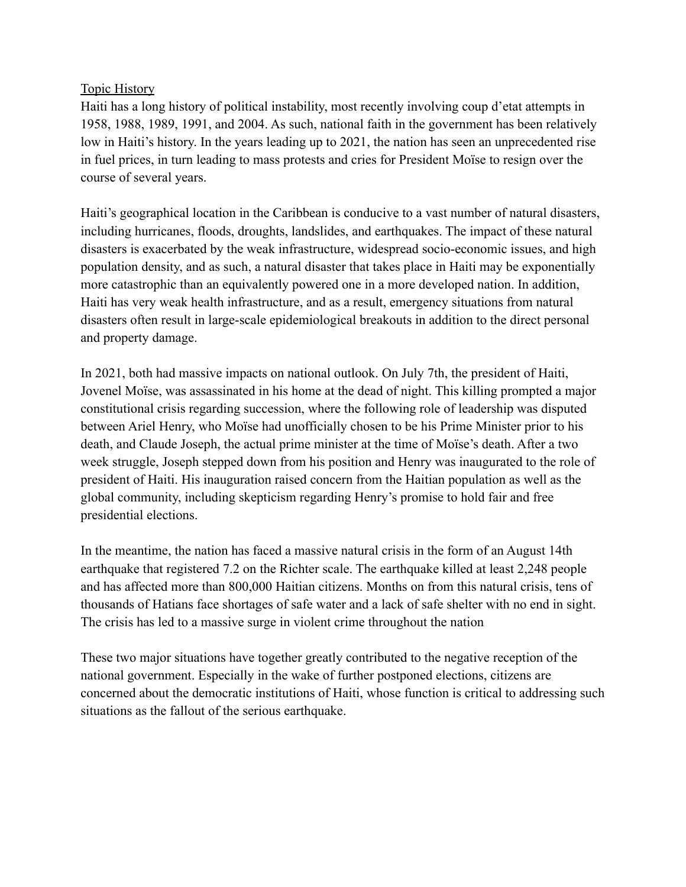### Topic History

Haiti has a long history of political instability, most recently involving coup d'etat attempts in 1958, 1988, 1989, 1991, and 2004. As such, national faith in the government has been relatively low in Haiti's history. In the years leading up to 2021, the nation has seen an unprecedented rise in fuel prices, in turn leading to mass protests and cries for President Moïse to resign over the course of several years.

Haiti's geographical location in the Caribbean is conducive to a vast number of natural disasters, including hurricanes, floods, droughts, landslides, and earthquakes. The impact of these natural disasters is exacerbated by the weak infrastructure, widespread socio-economic issues, and high population density, and as such, a natural disaster that takes place in Haiti may be exponentially more catastrophic than an equivalently powered one in a more developed nation. In addition, Haiti has very weak health infrastructure, and as a result, emergency situations from natural disasters often result in large-scale epidemiological breakouts in addition to the direct personal and property damage.

In 2021, both had massive impacts on national outlook. On July 7th, the president of Haiti, Jovenel Moïse, was assassinated in his home at the dead of night. This killing prompted a major constitutional crisis regarding succession, where the following role of leadership was disputed between Ariel Henry, who Moïse had unofficially chosen to be his Prime Minister prior to his death, and Claude Joseph, the actual prime minister at the time of Moïse's death. After a two week struggle, Joseph stepped down from his position and Henry was inaugurated to the role of president of Haiti. His inauguration raised concern from the Haitian population as well as the global community, including skepticism regarding Henry's promise to hold fair and free presidential elections.

In the meantime, the nation has faced a massive natural crisis in the form of an August 14th earthquake that registered 7.2 on the Richter scale. The earthquake killed at least 2,248 people and has affected more than 800,000 Haitian citizens. Months on from this natural crisis, tens of thousands of Hatians face shortages of safe water and a lack of safe shelter with no end in sight. The crisis has led to a massive surge in violent crime throughout the nation

These two major situations have together greatly contributed to the negative reception of the national government. Especially in the wake of further postponed elections, citizens are concerned about the democratic institutions of Haiti, whose function is critical to addressing such situations as the fallout of the serious earthquake.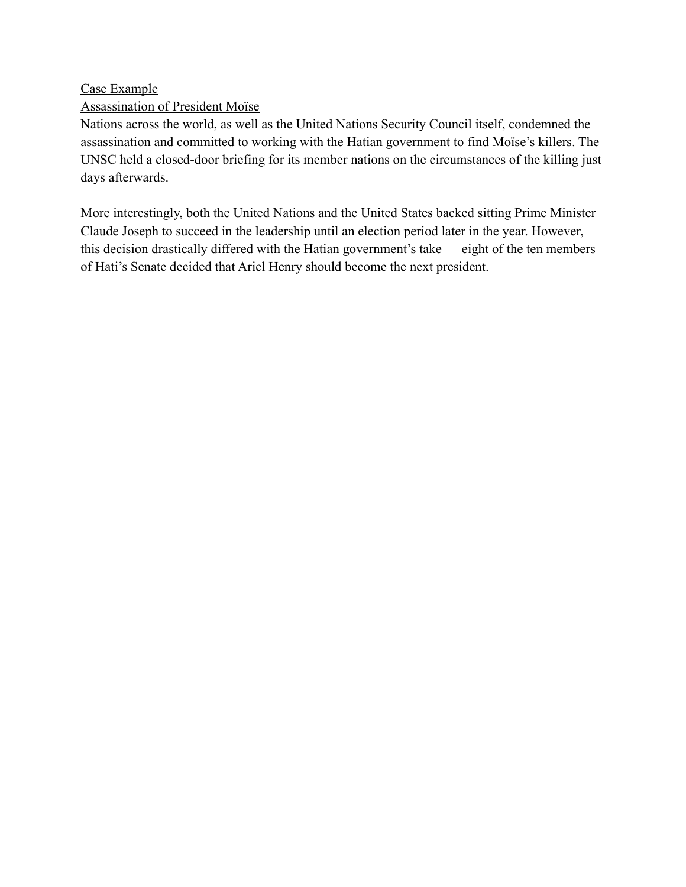Case Example

# Assassination of President Moïse

Nations across the world, as well as the United Nations Security Council itself, condemned the assassination and committed to working with the Hatian government to find Moïse's killers. The UNSC held a closed-door briefing for its member nations on the circumstances of the killing just days afterwards.

More interestingly, both the United Nations and the United States backed sitting Prime Minister Claude Joseph to succeed in the leadership until an election period later in the year. However, this decision drastically differed with the Hatian government's take — eight of the ten members of Hati's Senate decided that Ariel Henry should become the next president.